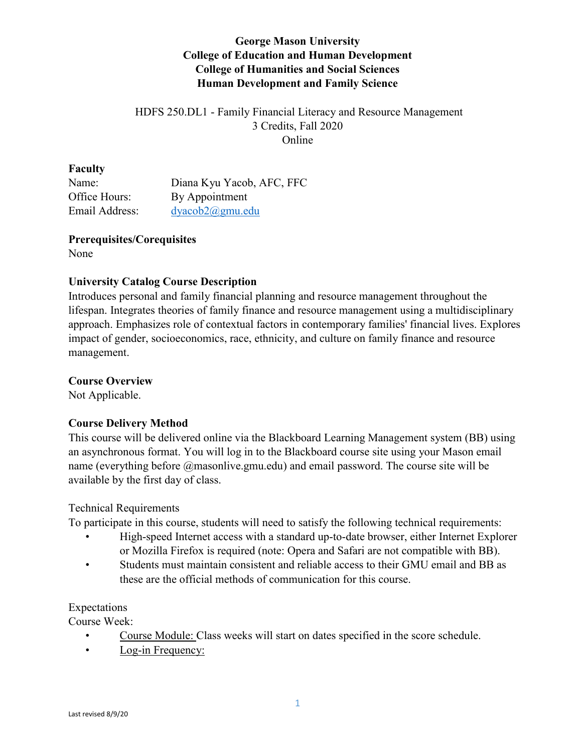# **George Mason University College of Education and Human Development College of Humanities and Social Sciences Human Development and Family Science**

## HDFS 250.DL1 - Family Financial Literacy and Resource Management 3 Credits, Fall 2020 Online

#### **Faculty**

Name: Diana Kyu Yacob, AFC, FFC Office Hours: By Appointment Email Address: [dyacob2@gmu.edu](mailto:dyacob2@gmu.edu)

# **Prerequisites/Corequisites**

None

## **University Catalog Course Description**

Introduces personal and family financial planning and resource management throughout the lifespan. Integrates theories of family finance and resource management using a multidisciplinary approach. Emphasizes role of contextual factors in contemporary families' financial lives. Explores impact of gender, socioeconomics, race, ethnicity, and culture on family finance and resource management.

## **Course Overview**

Not Applicable.

## **Course Delivery Method**

This course will be delivered online via the Blackboard Learning Management system (BB) using an asynchronous format. You will log in to the Blackboard course site using your Mason email name (everything before @masonlive.gmu.edu) and email password. The course site will be available by the first day of class.

## Technical Requirements

To participate in this course, students will need to satisfy the following technical requirements:

- High-speed Internet access with a standard up-to-date browser, either Internet Explorer or Mozilla Firefox is required (note: Opera and Safari are not compatible with BB).
- Students must maintain consistent and reliable access to their GMU email and BB as these are the official methods of communication for this course.

## Expectations

Course Week:

- Course Module: Class weeks will start on dates specified in the score schedule.
- Log-in Frequency: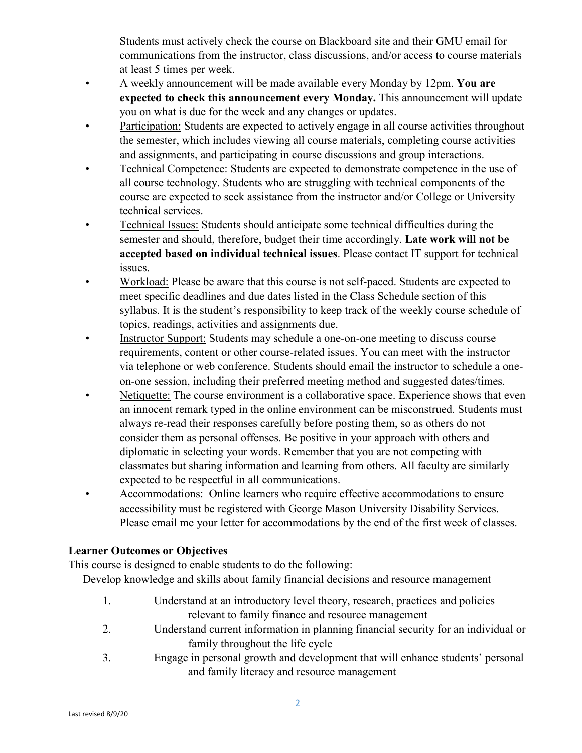Students must actively check the course on Blackboard site and their GMU email for communications from the instructor, class discussions, and/or access to course materials at least 5 times per week.

- A weekly announcement will be made available every Monday by 12pm. **You are expected to check this announcement every Monday.** This announcement will update you on what is due for the week and any changes or updates.
- Participation: Students are expected to actively engage in all course activities throughout the semester, which includes viewing all course materials, completing course activities and assignments, and participating in course discussions and group interactions.
- Technical Competence: Students are expected to demonstrate competence in the use of all course technology. Students who are struggling with technical components of the course are expected to seek assistance from the instructor and/or College or University technical services.
- Technical Issues: Students should anticipate some technical difficulties during the semester and should, therefore, budget their time accordingly. **Late work will not be accepted based on individual technical issues**. Please contact IT support for technical issues.
- Workload: Please be aware that this course is not self-paced. Students are expected to meet specific deadlines and due dates listed in the Class Schedule section of this syllabus. It is the student's responsibility to keep track of the weekly course schedule of topics, readings, activities and assignments due.
- Instructor Support: Students may schedule a one-on-one meeting to discuss course requirements, content or other course-related issues. You can meet with the instructor via telephone or web conference. Students should email the instructor to schedule a oneon-one session, including their preferred meeting method and suggested dates/times.
- Netiquette: The course environment is a collaborative space. Experience shows that even an innocent remark typed in the online environment can be misconstrued. Students must always re-read their responses carefully before posting them, so as others do not consider them as personal offenses. Be positive in your approach with others and diplomatic in selecting your words. Remember that you are not competing with classmates but sharing information and learning from others. All faculty are similarly expected to be respectful in all communications.
- Accommodations: Online learners who require effective accommodations to ensure accessibility must be registered with George Mason University Disability Services. Please email me your letter for accommodations by the end of the first week of classes.

# **Learner Outcomes or Objectives**

This course is designed to enable students to do the following:

Develop knowledge and skills about family financial decisions and resource management

- 1. Understand at an introductory level theory, research, practices and policies relevant to family finance and resource management
- 2. Understand current information in planning financial security for an individual or family throughout the life cycle
- 3. Engage in personal growth and development that will enhance students' personal and family literacy and resource management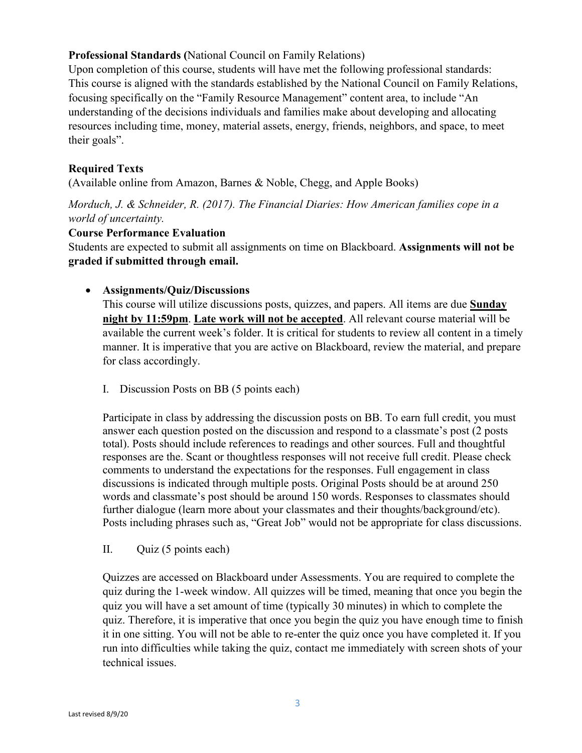## **Professional Standards (**National Council on Family Relations)

Upon completion of this course, students will have met the following professional standards: This course is aligned with the standards established by the National Council on Family Relations, focusing specifically on the "Family Resource Management" content area, to include "An understanding of the decisions individuals and families make about developing and allocating resources including time, money, material assets, energy, friends, neighbors, and space, to meet their goals".

## **Required Texts**

(Available online from Amazon, Barnes & Noble, Chegg, and Apple Books)

*Morduch, J. & Schneider, R. (2017). The Financial Diaries: How American families cope in a world of uncertainty.* 

#### **Course Performance Evaluation**

Students are expected to submit all assignments on time on Blackboard. **Assignments will not be graded if submitted through email.** 

## • **Assignments/Quiz/Discussions**

This course will utilize discussions posts, quizzes, and papers. All items are due **Sunday night by 11:59pm**. **Late work will not be accepted**. All relevant course material will be available the current week's folder. It is critical for students to review all content in a timely manner. It is imperative that you are active on Blackboard, review the material, and prepare for class accordingly.

I. Discussion Posts on BB (5 points each)

Participate in class by addressing the discussion posts on BB. To earn full credit, you must answer each question posted on the discussion and respond to a classmate's post (2 posts total). Posts should include references to readings and other sources. Full and thoughtful responses are the. Scant or thoughtless responses will not receive full credit. Please check comments to understand the expectations for the responses. Full engagement in class discussions is indicated through multiple posts. Original Posts should be at around 250 words and classmate's post should be around 150 words. Responses to classmates should further dialogue (learn more about your classmates and their thoughts/background/etc). Posts including phrases such as, "Great Job" would not be appropriate for class discussions.

II. Quiz (5 points each)

Quizzes are accessed on Blackboard under Assessments. You are required to complete the quiz during the 1-week window. All quizzes will be timed, meaning that once you begin the quiz you will have a set amount of time (typically 30 minutes) in which to complete the quiz. Therefore, it is imperative that once you begin the quiz you have enough time to finish it in one sitting. You will not be able to re-enter the quiz once you have completed it. If you run into difficulties while taking the quiz, contact me immediately with screen shots of your technical issues.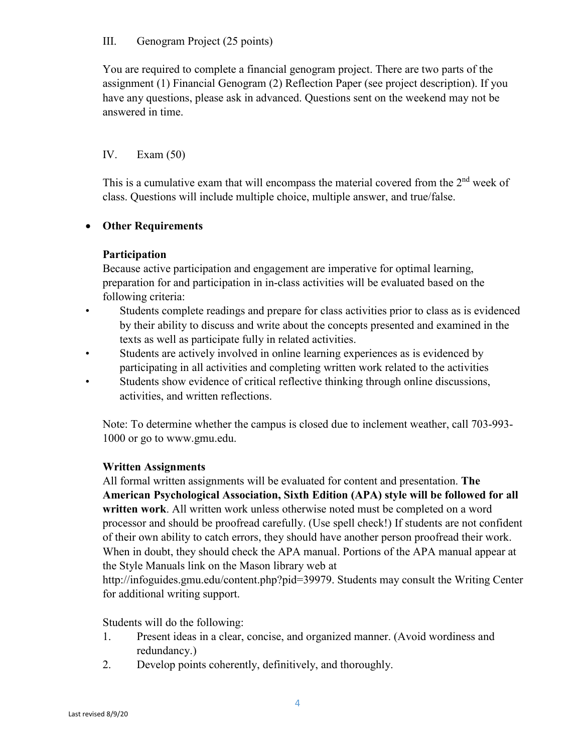#### III. Genogram Project (25 points)

You are required to complete a financial genogram project. There are two parts of the assignment (1) Financial Genogram (2) Reflection Paper (see project description). If you have any questions, please ask in advanced. Questions sent on the weekend may not be answered in time.

## IV. Exam (50)

This is a cumulative exam that will encompass the material covered from the  $2<sup>nd</sup>$  week of class. Questions will include multiple choice, multiple answer, and true/false.

## • **Other Requirements**

## **Participation**

Because active participation and engagement are imperative for optimal learning, preparation for and participation in in-class activities will be evaluated based on the following criteria:

- Students complete readings and prepare for class activities prior to class as is evidenced by their ability to discuss and write about the concepts presented and examined in the texts as well as participate fully in related activities.
- Students are actively involved in online learning experiences as is evidenced by participating in all activities and completing written work related to the activities
- Students show evidence of critical reflective thinking through online discussions, activities, and written reflections.

Note: To determine whether the campus is closed due to inclement weather, call 703-993- 1000 or go to www.gmu.edu.

## **Written Assignments**

All formal written assignments will be evaluated for content and presentation. **The American Psychological Association, Sixth Edition (APA) style will be followed for all written work**. All written work unless otherwise noted must be completed on a word processor and should be proofread carefully. (Use spell check!) If students are not confident of their own ability to catch errors, they should have another person proofread their work. When in doubt, they should check the APA manual. Portions of the APA manual appear at the Style Manuals link on the Mason library web at

http://infoguides.gmu.edu/content.php?pid=39979. Students may consult the Writing Center for additional writing support.

Students will do the following:

- 1. Present ideas in a clear, concise, and organized manner. (Avoid wordiness and redundancy.)
- 2. Develop points coherently, definitively, and thoroughly.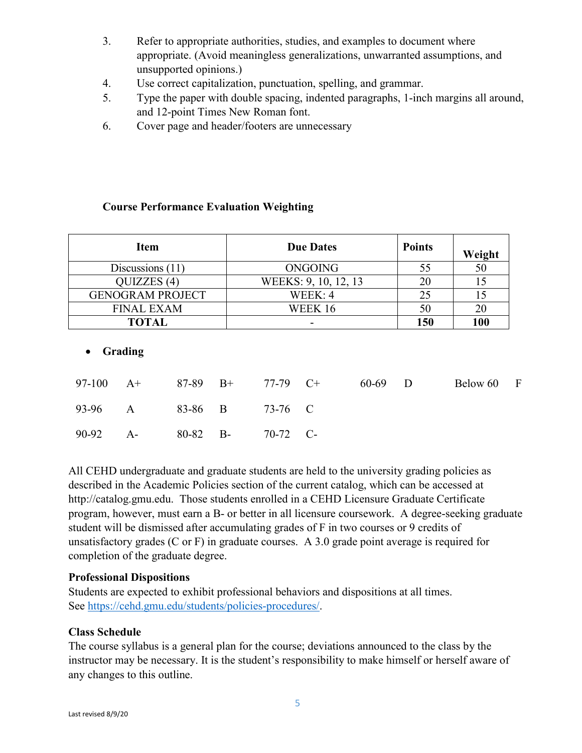- 3. Refer to appropriate authorities, studies, and examples to document where appropriate. (Avoid meaningless generalizations, unwarranted assumptions, and unsupported opinions.)
- 4. Use correct capitalization, punctuation, spelling, and grammar.
- 5. Type the paper with double spacing, indented paragraphs, 1-inch margins all around, and 12-point Times New Roman font.
- 6. Cover page and header/footers are unnecessary

## **Course Performance Evaluation Weighting**

| Item                    | <b>Due Dates</b>     | <b>Points</b> | Weight |
|-------------------------|----------------------|---------------|--------|
| Discussions $(11)$      | ONGOING              | 55            | 50     |
| QUIZZES (4)             | WEEKS: 9, 10, 12, 13 | 20            |        |
| <b>GENOGRAM PROJECT</b> | WEEK: 4              | 25            | 15     |
| <b>FINAL EXAM</b>       | WEEK 16              | 50            | 20     |
| <b>TOTAL</b>            |                      | 150           | 100    |
|                         |                      |               |        |

#### • **Grading**

|                            |  | 97-100 A+ 87-89 B+ 77-79 C+ | 60-69 D | Below 60 F |  |
|----------------------------|--|-----------------------------|---------|------------|--|
| 93-96 A 83-86 B 73-76 C    |  |                             |         |            |  |
| 90-92 A- 80-82 B- 70-72 C- |  |                             |         |            |  |

All CEHD undergraduate and graduate students are held to the university grading policies as described in the Academic Policies section of the current catalog, which can be accessed at http://catalog.gmu.edu. Those students enrolled in a CEHD Licensure Graduate Certificate program, however, must earn a B- or better in all licensure coursework. A degree-seeking graduate student will be dismissed after accumulating grades of F in two courses or 9 credits of unsatisfactory grades (C or F) in graduate courses. A 3.0 grade point average is required for completion of the graduate degree.

#### **Professional Dispositions**

Students are expected to exhibit professional behaviors and dispositions at all times. See [https://cehd.gmu.edu/students/policies-procedures/.](https://cehd.gmu.edu/students/policies-procedures/)

#### **Class Schedule**

The course syllabus is a general plan for the course; deviations announced to the class by the instructor may be necessary. It is the student's responsibility to make himself or herself aware of any changes to this outline.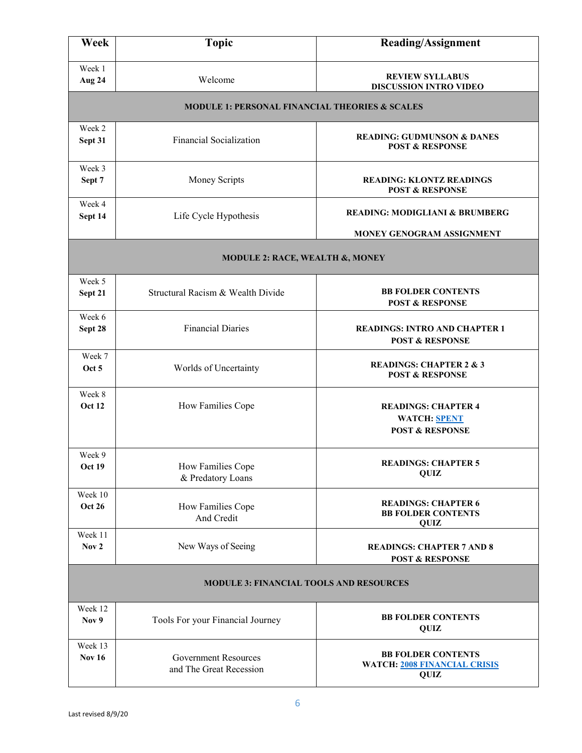| Week                                           | <b>Topic</b>                                              | Reading/Assignment                                                              |  |  |  |
|------------------------------------------------|-----------------------------------------------------------|---------------------------------------------------------------------------------|--|--|--|
| Week 1<br>Aug 24                               | Welcome                                                   | <b>REVIEW SYLLABUS</b><br><b>DISCUSSION INTRO VIDEO</b>                         |  |  |  |
|                                                | <b>MODULE 1: PERSONAL FINANCIAL THEORIES &amp; SCALES</b> |                                                                                 |  |  |  |
| Week 2<br>Sept 31                              | <b>Financial Socialization</b>                            | <b>READING: GUDMUNSON &amp; DANES</b><br><b>POST &amp; RESPONSE</b>             |  |  |  |
| Week 3<br>Sept 7                               | Money Scripts                                             | <b>READING: KLONTZ READINGS</b><br><b>POST &amp; RESPONSE</b>                   |  |  |  |
| Week 4<br>Sept 14                              | Life Cycle Hypothesis                                     | <b>READING: MODIGLIANI &amp; BRUMBERG</b><br>MONEY GENOGRAM ASSIGNMENT          |  |  |  |
|                                                | MODULE 2: RACE, WEALTH &, MONEY                           |                                                                                 |  |  |  |
| Week 5<br>Sept 21                              | Structural Racism & Wealth Divide                         | <b>BB FOLDER CONTENTS</b><br><b>POST &amp; RESPONSE</b>                         |  |  |  |
| Week 6<br>Sept 28                              | <b>Financial Diaries</b>                                  | <b>READINGS: INTRO AND CHAPTER 1</b><br><b>POST &amp; RESPONSE</b>              |  |  |  |
| Week 7<br>Oct 5                                | Worlds of Uncertainty                                     | <b>READINGS: CHAPTER 2 &amp; 3</b><br><b>POST &amp; RESPONSE</b>                |  |  |  |
| Week 8<br><b>Oct 12</b>                        | How Families Cope                                         | <b>READINGS: CHAPTER 4</b><br><b>WATCH: SPENT</b><br><b>POST &amp; RESPONSE</b> |  |  |  |
| Week 9<br><b>Oct 19</b>                        | How Families Cope<br>& Predatory Loans                    | <b>READINGS: CHAPTER 5</b><br>QUIZ                                              |  |  |  |
| Week 10<br><b>Oct 26</b>                       | How Families Cope<br>And Credit                           | <b>READINGS: CHAPTER 6</b><br><b>BB FOLDER CONTENTS</b><br>QUIZ                 |  |  |  |
| Week 11<br>Nov <sub>2</sub>                    | New Ways of Seeing                                        | <b>READINGS: CHAPTER 7 AND 8</b><br><b>POST &amp; RESPONSE</b>                  |  |  |  |
| <b>MODULE 3: FINANCIAL TOOLS AND RESOURCES</b> |                                                           |                                                                                 |  |  |  |
| Week 12<br>Nov 9                               | Tools For your Financial Journey                          | <b>BB FOLDER CONTENTS</b><br>QUIZ                                               |  |  |  |
| Week 13<br><b>Nov 16</b>                       | <b>Government Resources</b><br>and The Great Recession    | <b>BB FOLDER CONTENTS</b><br><b>WATCH: 2008 FINANCIAL CRISIS</b><br>QUIZ        |  |  |  |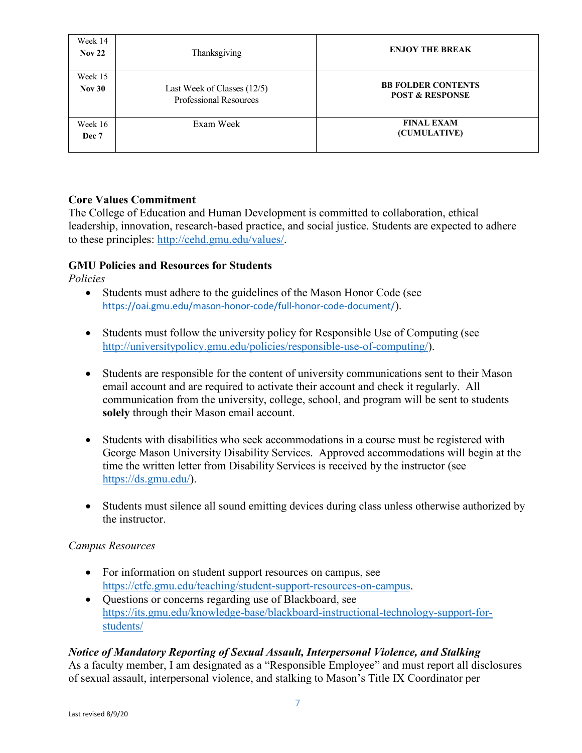| Week 14<br>Nov <sub>22</sub> | Thanksgiving                                                 | <b>ENJOY THE BREAK</b>                                  |
|------------------------------|--------------------------------------------------------------|---------------------------------------------------------|
| Week 15<br>Nov30             | Last Week of Classes (12/5)<br><b>Professional Resources</b> | <b>BB FOLDER CONTENTS</b><br><b>POST &amp; RESPONSE</b> |
| Week 16<br>Dec 7             | Exam Week                                                    | <b>FINAL EXAM</b><br>(CUMULATIVE)                       |

## **Core Values Commitment**

The College of Education and Human Development is committed to collaboration, ethical leadership, innovation, research-based practice, and social justice. Students are expected to adhere to these principles: [http://cehd.gmu.edu/values/.](http://cehd.gmu.edu/values/)

## **GMU Policies and Resources for Students**

*Policies*

- Students must adhere to the guidelines of the Mason Honor Code (see <https://oai.gmu.edu/mason-honor-code/full-honor-code-document/>).
- Students must follow the university policy for Responsible Use of Computing (see [http://universitypolicy.gmu.edu/policies/responsible-use-of-computing/\)](http://universitypolicy.gmu.edu/policies/responsible-use-of-computing/).
- Students are responsible for the content of university communications sent to their Mason email account and are required to activate their account and check it regularly. All communication from the university, college, school, and program will be sent to students **solely** through their Mason email account.
- Students with disabilities who seek accommodations in a course must be registered with George Mason University Disability Services. Approved accommodations will begin at the time the written letter from Disability Services is received by the instructor (see [https://ds.gmu.edu/\)](https://ds.gmu.edu/).
- Students must silence all sound emitting devices during class unless otherwise authorized by the instructor.

## *Campus Resources*

- For information on student support resources on campus, see [https://ctfe.gmu.edu/teaching/student-support-resources-on-campus.](https://ctfe.gmu.edu/teaching/student-support-resources-on-campus)
- Questions or concerns regarding use of Blackboard, see [https://its.gmu.edu/knowledge-base/blackboard-instructional-technology-support-for](https://its.gmu.edu/knowledge-base/blackboard-instructional-technology-support-for-students/)[students/](https://its.gmu.edu/knowledge-base/blackboard-instructional-technology-support-for-students/)

# *Notice of Mandatory Reporting of Sexual Assault, Interpersonal Violence, and Stalking*

As a faculty member, I am designated as a "Responsible Employee" and must report all disclosures of sexual assault, interpersonal violence, and stalking to Mason's Title IX Coordinator per